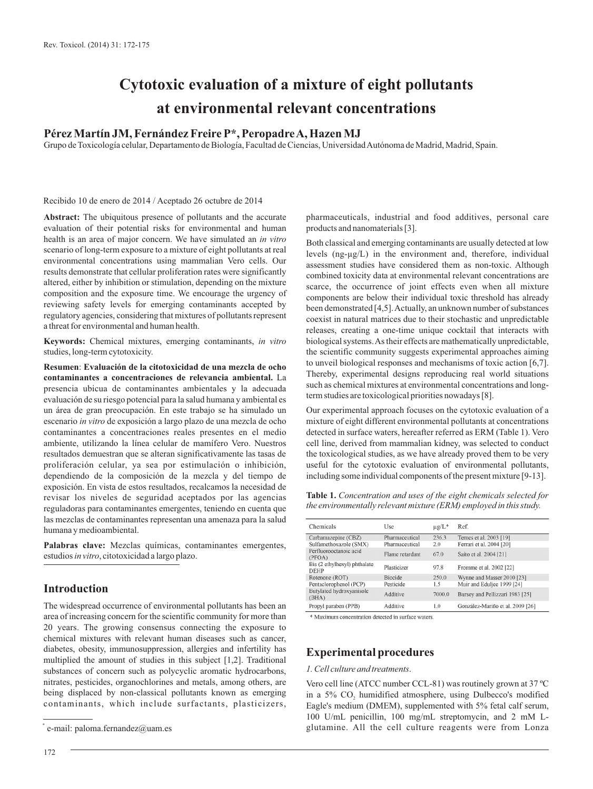# **Cytotoxic evaluation of a mixture of eight pollutants at environmental relevant concentrations**

# **Pérez Martín JM, Fernández Freire P\*, Peropadre A, Hazen MJ**

Grupo de Toxicología celular, Departamento de Biología, Facultad de Ciencias, Universidad Autónoma de Madrid, Madrid, Spain.

Recibido 10 de enero de 2014 / Aceptado 26 octubre de 2014

**Abstract:** The ubiquitous presence of pollutants and the accurate evaluation of their potential risks for environmental and human health is an area of major concern. We have simulated an *in vitro* scenario of long-term exposure to a mixture of eight pollutants at real environmental concentrations using mammalian Vero cells. Our results demonstrate that cellular proliferation rates were significantly altered, either by inhibition or stimulation, depending on the mixture composition and the exposure time. We encourage the urgency of reviewing safety levels for emerging contaminants accepted by regulatory agencies, considering that mixtures of pollutants represent a threat for environmental and human health.

**Keywords:** Chemical mixtures, emerging contaminants, *in vitro* studies, long-term cytotoxicity.

**Resumen**: **Evaluación de la citotoxicidad de una mezcla de ocho contaminantes a concentraciones de relevancia ambiental.** La presencia ubicua de contaminantes ambientales y la adecuada evaluación de su riesgo potencial para la salud humana y ambiental es un área de gran preocupación. En este trabajo se ha simulado un escenario *in vitro* de exposición a largo plazo de una mezcla de ocho contaminantes a concentraciones reales presentes en el medio ambiente, utilizando la línea celular de mamífero Vero. Nuestros resultados demuestran que se alteran significativamente las tasas de proliferación celular, ya sea por estimulación o inhibición, dependiendo de la composición de la mezcla y del tiempo de exposición. En vista de estos resultados, recalcamos la necesidad de revisar los niveles de seguridad aceptados por las agencias reguladoras para contaminantes emergentes, teniendo en cuenta que las mezclas de contaminantes representan una amenaza para la salud humana y medioambiental.

**Palabras clave:** Mezclas químicas, contaminantes emergentes, estudios *in vitro*, citotoxicidad a largo plazo.

## **Introduction**

The widespread occurrence of environmental pollutants has been an area of increasing concern for the scientific community for more than 20 years. The growing consensus connecting the exposure to chemical mixtures with relevant human diseases such as cancer, diabetes, obesity, immunosuppression, allergies and infertility has multiplied the amount of studies in this subject [1,2]. Traditional substances of concern such as polycyclic aromatic hydrocarbons, nitrates, pesticides, organochlorines and metals, among others, are being displaced by non-classical pollutants known as emerging contaminants, which include surfactants, plasticizers,

pharmaceuticals, industrial and food additives, personal care products and nanomaterials [3].

Both classical and emerging contaminants are usually detected at low levels (ng-µg/L) in the environment and, therefore, individual assessment studies have considered them as non-toxic. Although combined toxicity data at environmental relevant concentrations are scarce, the occurrence of joint effects even when all mixture components are below their individual toxic threshold has already been demonstrated [4,5]. Actually, an unknown number of substances coexist in natural matrices due to their stochastic and unpredictable releases, creating a one-time unique cocktail that interacts with biological systems. As their effects are mathematically unpredictable, the scientific community suggests experimental approaches aiming to unveil biological responses and mechanisms of toxic action [6,7]. Thereby, experimental designs reproducing real world situations such as chemical mixtures at environmental concentrations and longterm studies are toxicological priorities nowadays [8].

Our experimental approach focuses on the cytotoxic evaluation of a mixture of eight different environmental pollutants at concentrations detected in surface waters, hereafter referred as ERM (Table 1). Vero cell line, derived from mammalian kidney, was selected to conduct the toxicological studies, as we have already proved them to be very useful for the cytotoxic evaluation of environmental pollutants, including some individual components of the present mixture [9-13].

**Table 1.** *Concentration and uses of the eight chemicals selected for the environmentally relevant mixture (ERM) employed in this study.*

| Chemicals                                   | Use             | $\mu$ g/L <sup>*</sup> | Ref.                             |
|---------------------------------------------|-----------------|------------------------|----------------------------------|
| Carbamazepine (CBZ)                         | Pharmaceutical  | 236.3                  | Ternes et al. 2003 [19]          |
| Sulfamethoxazole (SMX)                      | Pharmaceutical  | 2.0                    | Ferrari et al. 2004 [20]         |
| Perfluorooctanoic acid<br>(PFOA)            | Flame retardant | 67.0                   | Saito et al. 2004 [21]           |
| Bis (2 ethylhexyl) phthalate<br><b>DEHP</b> | Plasticizer     | 97.8                   | Fromme et al. 2002 [22]          |
| Rotenone (ROT)                              | <b>Biocide</b>  | 250.0                  | Wynne and Masser 2010 [23]       |
| Pentaclorophenol (PCP)                      | Pesticide       | 1.5                    | Muir and Eduliee 1999 [24]       |
| Butylated hydroxyanisole<br>(BHA)           | Additive        | 7000.0                 | Bursey and Pellizzari 1983 [25]  |
| Propyl paraben (PPB)                        | Additive        | 1.0                    | González-Mariño et al. 2009 [26] |

\* Maximum concentration detected in surface waters.

## **Experimental procedures**

### *1. Cell culture and treatments*.

Vero cell line (ATCC number CCL-81) was routinely grown at 37 ºC in a 5% CO, humidified atmosphere, using Dulbecco's modified Eagle's medium (DMEM), supplemented with 5% fetal calf serum, 100 U/mL penicillin, 100 mg/mL streptomycin, and 2 mM Lglutamine. All the cell culture reagents were from Lonza \*

e-mail: paloma.fernandez@uam.es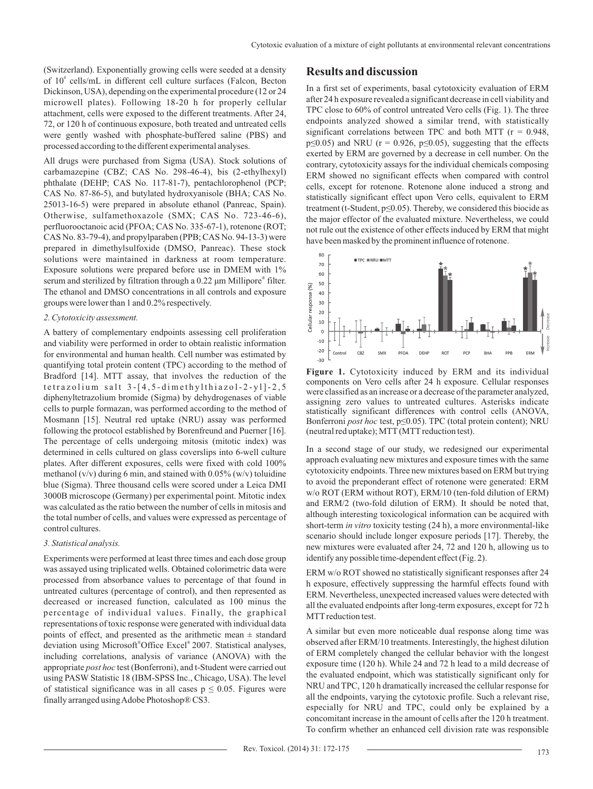(Switzerland). Exponentially growing cells were seeded at a density of 10<sup>4</sup> cells/mL in different cell culture surfaces (Falcon, Becton Dickinson, USA), depending on the experimental procedure (12 or 24 microwell plates). Following 18-20 h for properly cellular attachment, cells were exposed to the different treatments. After 24, 72, or 120 h of continuous exposure, both treated and untreated cells were gently washed with phosphate-buffered saline (PBS) and processed according to the different experimental analyses.

All drugs were purchased from Sigma (USA). Stock solutions of carbamazepine (CBZ; CAS No. 298-46-4), bis (2-ethylhexyl) phthalate (DEHP; CAS No. 117-81-7), pentachlorophenol (PCP; CAS No. 87-86-5), and butylated hydroxyanisole (BHA; CAS No. 25013-16-5) were prepared in absolute ethanol (Panreac, Spain). Otherwise, sulfamethoxazole (SMX; CAS No. 723-46-6), perfluorooctanoic acid (PFOA; CAS No. 335-67-1), rotenone (ROT; CAS No. 83-79-4), and propylparaben (PPB; CAS No. 94-13-3) were prepared in dimethylsulfoxide (DMSO, Panreac). These stock solutions were maintained in darkness at room temperature. Exposure solutions were prepared before use in DMEM with 1% serum and sterilized by filtration through a 0.22 μm Millipore® filter. The ethanol and DMSO concentrations in all controls and exposure groups were lower than 1 and 0.2% respectively.

#### *2. Cytotoxicity assessment.*

A battery of complementary endpoints assessing cell proliferation and viability were performed in order to obtain realistic information for environmental and human health. Cell number was estimated by quantifying total protein content (TPC) according to the method of Bradford [14]. MTT assay, that involves the reduction of the  $tetrazolium salt 3-[4,5-dimethylthiazol-2-y1]-2,5$ diphenyltetrazolium bromide (Sigma) by dehydrogenases of viable cells to purple formazan, was performed according to the method of Mosmann [15]. Neutral red uptake (NRU) assay was performed following the protocol established by Borenfreund and Puerner [16]. The percentage of cells undergoing mitosis (mitotic index) was determined in cells cultured on glass coverslips into 6-well culture plates. After different exposures, cells were fixed with cold 100% methanol ( $v/v$ ) during 6 min, and stained with 0.05% ( $w/v$ ) toluidine blue (Sigma). Three thousand cells were scored under a Leica DMI 3000B microscope (Germany) per experimental point. Mitotic index was calculated as the ratio between the number of cells in mitosis and the total number of cells, and values were expressed as percentage of control cultures.

#### *3. Statistical analysis.*

Experiments were performed at least three times and each dose group was assayed using triplicated wells. Obtained colorimetric data were processed from absorbance values to percentage of that found in untreated cultures (percentage of control), and then represented as decreased or increased function, calculated as 100 minus the percentage of individual values. Finally, the graphical representations of toxic response were generated with individual data points of effect, and presented as the arithmetic mean  $\pm$  standard deviation using Microsoft<sup>®</sup>Office Excel<sup>®</sup> 2007. Statistical analyses, including correlations, analysis of variance (ANOVA) with the appropriate *post hoc* test (Bonferroni), and t-Student were carried out using PASW Statistic 18 (IBM-SPSS Inc., Chicago, USA). The level of statistical significance was in all cases  $p \leq 0.05$ . Figures were finally arranged using Adobe Photoshop® CS3.

## **Results and discussion**

In a first set of experiments, basal cytotoxicity evaluation of ERM after 24 h exposure revealed a significant decrease in cell viability and TPC close to 60% of control untreated Vero cells (Fig. 1). The three endpoints analyzed showed a similar trend, with statistically significant correlations between TPC and both MTT ( $r = 0.948$ ,  $p \le 0.05$ ) and NRU ( $r = 0.926$ ,  $p \le 0.05$ ), suggesting that the effects exerted by ERM are governed by a decrease in cell number. On the contrary, cytotoxicity assays for the individual chemicals composing ERM showed no significant effects when compared with control cells, except for rotenone. Rotenone alone induced a strong and statistically significant effect upon Vero cells, equivalent to ERM treatment (t-Student,  $p \le 0.05$ ). Thereby, we considered this biocide as the major effector of the evaluated mixture. Nevertheless, we could not rule out the existence of other effects induced by ERM that might have been masked by the prominent influence of rotenone.



**Figure 1.** Cytotoxicity induced by ERM and its individual components on Vero cells after 24 h exposure. Cellular responses were classified as an increase or a decrease of the parameter analyzed, assigning zero values to untreated cultures. Asterisks indicate statistically significant differences with control cells (ANOVA, Bonferroni *post hoc* test, p≤0.05). TPC (total protein content); NRU (neutral red uptake); MTT (MTT reduction test).

In a second stage of our study, we redesigned our experimental approach evaluating new mixtures and exposure times with the same cytotoxicity endpoints. Three new mixtures based on ERM but trying to avoid the preponderant effect of rotenone were generated: ERM w/o ROT (ERM without ROT), ERM/10 (ten-fold dilution of ERM) and ERM/2 (two-fold dilution of ERM). It should be noted that, although interesting toxicological information can be acquired with short-term *in vitro* toxicity testing (24 h), a more environmental-like scenario should include longer exposure periods [17]. Thereby, the new mixtures were evaluated after 24, 72 and 120 h, allowing us to identify any possible time-dependent effect (Fig. 2).

ERM w/o ROT showed no statistically significant responses after 24 h exposure, effectively suppressing the harmful effects found with ERM. Nevertheless, unexpected increased values were detected with all the evaluated endpoints after long-term exposures, except for 72 h MTT reduction test.

A similar but even more noticeable dual response along time was observed after ERM/10 treatments. Interestingly, the highest dilution of ERM completely changed the cellular behavior with the longest exposure time (120 h). While 24 and 72 h lead to a mild decrease of the evaluated endpoint, which was statistically significant only for NRU and TPC, 120 h dramatically increased the cellular response for all the endpoints, varying the cytotoxic profile. Such a relevant rise, especially for NRU and TPC, could only be explained by a concomitant increase in the amount of cells after the 120 h treatment. To confirm whether an enhanced cell division rate was responsible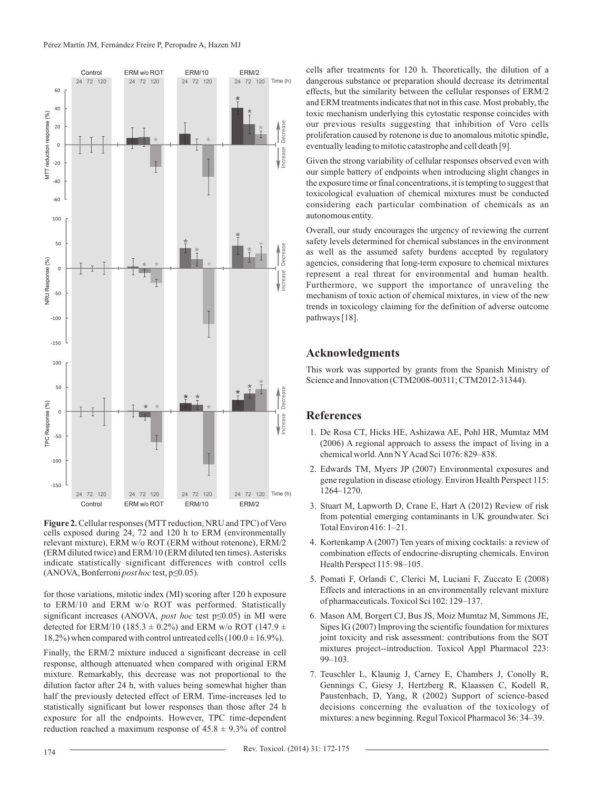

Figure 2. Cellular responses (MTT reduction, NRU and TPC) of Vero cells exposed during 24, 72 and 120 h to ERM (environmentally relevant mixture), ERM w/o ROT (ERM without rotenone), ERM/2 (ERM diluted twice) and ERM/10 (ERM diluted ten times). Asterisks indicate statistically significant differences with control cells (ANOVA, Bonferroni *post hoc* test, p≤0.05).

for those variations, mitotic index (MI) scoring after 120 h exposure to ERM/10 and ERM w/o ROT was performed. Statistically significant increases (ANOVA, *post hoc* test p≤0.05) in MI were detected for ERM/10 (185.3  $\pm$  0.2%) and ERM w/o ROT (147.9  $\pm$ 18.2%) when compared with control untreated cells  $(100.0 \pm 16.9\%)$ .

Finally, the ERM/2 mixture induced a significant decrease in cell response, although attenuated when compared with original ERM mixture. Remarkably, this decrease was not proportional to the dilution factor after 24 h, with values being somewhat higher than half the previously detected effect of ERM. Time-increases led to statistically significant but lower responses than those after 24 h exposure for all the endpoints. However, TPC time-dependent reduction reached a maximum response of  $45.8 \pm 9.3\%$  of control

cells after treatments for 120 h. Theoretically, the dilution of a dangerous substance or preparation should decrease its detrimental effects, but the similarity between the cellular responses of ERM/2 and ERM treatments indicates that not in this case. Most probably, the toxic mechanism underlying this cytostatic response coincides with our previous results suggesting that inhibition of Vero cells proliferation caused by rotenone is due to anomalous mitotic spindle, eventually leading to mitotic catastrophe and cell death [9].

Given the strong variability of cellular responses observed even with our simple battery of endpoints when introducing slight changes in the exposure time or final concentrations, it is tempting to suggest that toxicological evaluation of chemical mixtures must be conducted considering each particular combination of chemicals as an autonomous entity.

Overall, our study encourages the urgency of reviewing the current safety levels determined for chemical substances in the environment as well as the assumed safety burdens accepted by regulatory agencies, considering that long-term exposure to chemical mixtures represent a real threat for environmental and human health. Furthermore, we support the importance of unraveling the mechanism of toxic action of chemical mixtures, in view of the new trends in toxicology claiming for the definition of adverse outcome pathways [18].

# **Acknowledgments**

This work was supported by grants from the Spanish Ministry of Science and Innovation (CTM2008-00311; CTM2012-31344).

# **References**

- 1. De Rosa CT, Hicks HE, Ashizawa AE, Pohl HR, Mumtaz MM (2006) A regional approach to assess the impact of living in a chemical world. Ann N YAcad Sci 1076: 829–838.
- 2. Edwards TM, Myers JP (2007) Environmental exposures and gene regulation in disease etiology. Environ Health Perspect 115: 1264–1270.
- 3. Stuart M, Lapworth D, Crane E, Hart A (2012) Review of risk from potential emerging contaminants in UK groundwater. Sci Total Environ 416: 1–21.
- 4. Kortenkamp A (2007) Ten years of mixing cocktails: a review of combination effects of endocrine-disrupting chemicals. Environ Health Perspect 115: 98–105.
- 5. Pomati F, Orlandi C, Clerici M, Luciani F, Zuccato E (2008) Effects and interactions in an environmentally relevant mixture of pharmaceuticals. Toxicol Sci 102: 129–137.
- 6. Mason AM, Borgert CJ, Bus JS, Moiz Mumtaz M, Simmons JE, Sipes IG (2007) Improving the scientific foundation for mixtures joint toxicity and risk assessment: contributions from the SOT mixtures project--introduction. Toxicol Appl Pharmacol 223: 99–103.
- 7. Teuschler L, Klaunig J, Carney E, Chambers J, Conolly R, Gennings C, Giesy J, Hertzberg R, Klaassen C, Kodell R, Paustenbach, D, Yang, R (2002) Support of science-based decisions concerning the evaluation of the toxicology of mixtures: a new beginning. Regul Toxicol Pharmacol 36: 34–39.